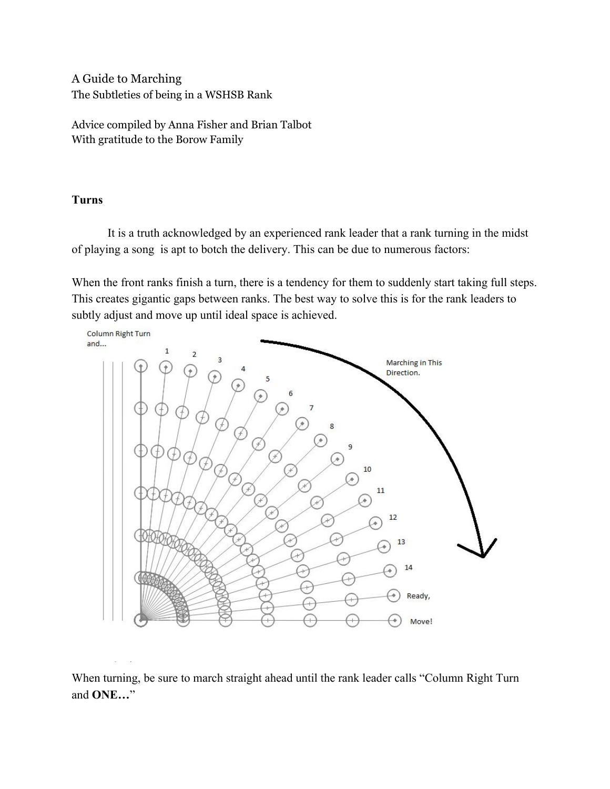A Guide to Marching The Subtleties of being in a WSHSB Rank

Advice compiled by Anna Fisher and Brian Talbot With gratitude to the Borow Family

# **Turns**

It is a truth acknowledged by an experienced rank leader that a rank turning in the midst of playing a song is apt to botch the delivery. This can be due to numerous factors:

When the front ranks finish a turn, there is a tendency for them to suddenly start taking full steps. This creates gigantic gaps between ranks. The best way to solve this is for the rank leaders to subtly adjust and move up until ideal space is achieved.



When turning, be sure to march straight ahead until the rank leader calls "Column Right Turn and **ONE…**"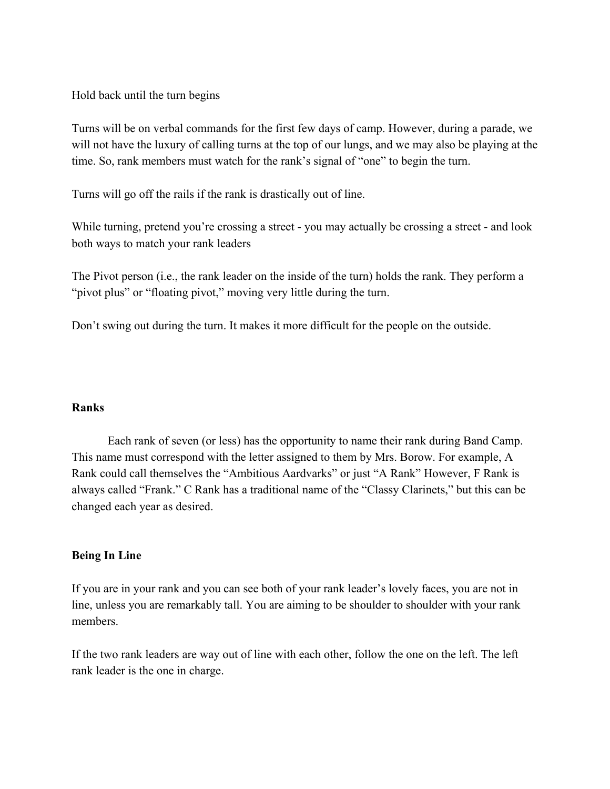Hold back until the turn begins

Turns will be on verbal commands for the first few days of camp. However, during a parade, we will not have the luxury of calling turns at the top of our lungs, and we may also be playing at the time. So, rank members must watch for the rank's signal of "one" to begin the turn.

Turns will go off the rails if the rank is drastically out of line.

While turning, pretend you're crossing a street - you may actually be crossing a street - and look both ways to match your rank leaders

The Pivot person (i.e., the rank leader on the inside of the turn) holds the rank. They perform a "pivot plus" or "floating pivot," moving very little during the turn.

Don't swing out during the turn. It makes it more difficult for the people on the outside.

#### **Ranks**

Each rank of seven (or less) has the opportunity to name their rank during Band Camp. This name must correspond with the letter assigned to them by Mrs. Borow. For example, A Rank could call themselves the "Ambitious Aardvarks" or just "A Rank" However, F Rank is always called "Frank." C Rank has a traditional name of the "Classy Clarinets," but this can be changed each year as desired.

## **Being In Line**

If you are in your rank and you can see both of your rank leader's lovely faces, you are not in line, unless you are remarkably tall. You are aiming to be shoulder to shoulder with your rank members.

If the two rank leaders are way out of line with each other, follow the one on the left. The left rank leader is the one in charge.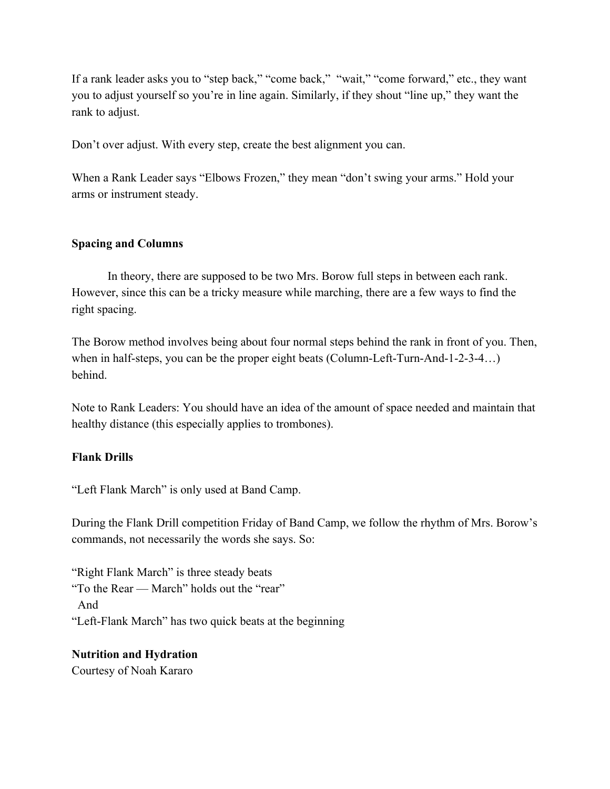If a rank leader asks you to "step back," "come back," "wait," "come forward," etc., they want you to adjust yourself so you're in line again. Similarly, if they shout "line up," they want the rank to adjust.

Don't over adjust. With every step, create the best alignment you can.

When a Rank Leader says "Elbows Frozen," they mean "don't swing your arms." Hold your arms or instrument steady.

#### **Spacing and Columns**

In theory, there are supposed to be two Mrs. Borow full steps in between each rank. However, since this can be a tricky measure while marching, there are a few ways to find the right spacing.

The Borow method involves being about four normal steps behind the rank in front of you. Then, when in half-steps, you can be the proper eight beats (Column-Left-Turn-And-1-2-3-4...) behind.

Note to Rank Leaders: You should have an idea of the amount of space needed and maintain that healthy distance (this especially applies to trombones).

#### **Flank Drills**

"Left Flank March" is only used at Band Camp.

During the Flank Drill competition Friday of Band Camp, we follow the rhythm of Mrs. Borow's commands, not necessarily the words she says. So:

"Right Flank March" is three steady beats "To the Rear — March" holds out the "rear" And "Left-Flank March" has two quick beats at the beginning

# **Nutrition and Hydration**

Courtesy of Noah Kararo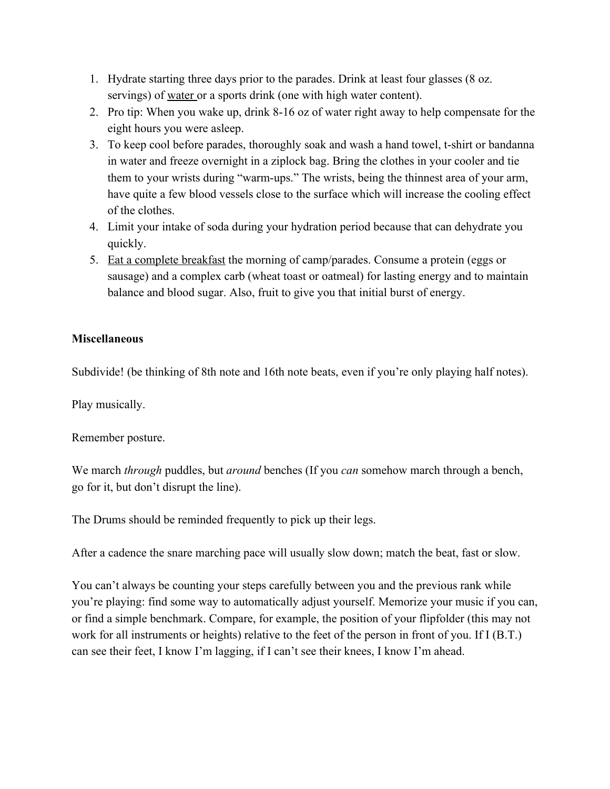- 1. Hydrate starting three days prior to the parades. Drink at least four glasses (8 oz. servings) of water or a sports drink (one with high water content).
- 2. Pro tip: When you wake up, drink 8-16 oz of water right away to help compensate for the eight hours you were asleep.
- 3. To keep cool before parades, thoroughly soak and wash a hand towel, t-shirt or bandanna in water and freeze overnight in a ziplock bag. Bring the clothes in your cooler and tie them to your wrists during "warm-ups." The wrists, being the thinnest area of your arm, have quite a few blood vessels close to the surface which will increase the cooling effect of the clothes.
- 4. Limit your intake of soda during your hydration period because that can dehydrate you quickly.
- 5. Eat a complete breakfast the morning of camp/parades. Consume a protein (eggs or sausage) and a complex carb (wheat toast or oatmeal) for lasting energy and to maintain balance and blood sugar. Also, fruit to give you that initial burst of energy.

## **Miscellaneous**

Subdivide! (be thinking of 8th note and 16th note beats, even if you're only playing half notes).

Play musically.

Remember posture.

We march *through* puddles, but *around* benches (If you *can* somehow march through a bench, go for it, but don't disrupt the line).

The Drums should be reminded frequently to pick up their legs.

After a cadence the snare marching pace will usually slow down; match the beat, fast or slow.

You can't always be counting your steps carefully between you and the previous rank while you're playing: find some way to automatically adjust yourself. Memorize your music if you can, or find a simple benchmark. Compare, for example, the position of your flipfolder (this may not work for all instruments or heights) relative to the feet of the person in front of you. If I (B.T.) can see their feet, I know I'm lagging, if I can't see their knees, I know I'm ahead.